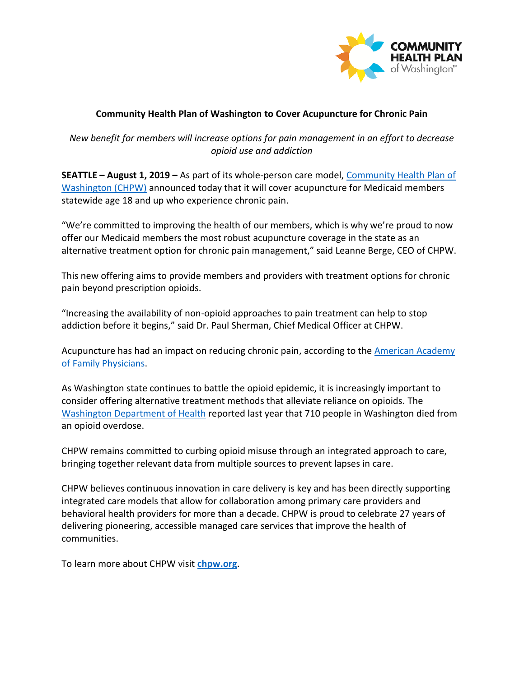

## **Community Health Plan of Washington to Cover Acupuncture for Chronic Pain**

*New benefit for members will increase options for pain management in an effort to decrease opioid use and addiction* 

**SEATTLE – August 1, 2019 –** As part of its whole-person care model, [Community Health Plan of](http://www.chpw.org/)  [Washington \(CHPW\)](http://www.chpw.org/) announced today that it will cover acupuncture for Medicaid members statewide age 18 and up who experience chronic pain.

"We're committed to improving the health of our members, which is why we're proud to now offer our Medicaid members the most robust acupuncture coverage in the state as an alternative treatment option for chronic pain management," said Leanne Berge, CEO of CHPW.

This new offering aims to provide members and providers with treatment options for chronic pain beyond prescription opioids.

"Increasing the availability of non-opioid approaches to pain treatment can help to stop addiction before it begins," said Dr. Paul Sherman, Chief Medical Officer at CHPW.

Acupuncture has had an impact on reducing chronic pain, according to the [American Academy](https://www.aafp.org/news/health-of-the-public/20180521acupuncture.html)  [of Family Physicians.](https://www.aafp.org/news/health-of-the-public/20180521acupuncture.html)

As Washington state continues to battle the opioid epidemic, it is increasingly important to consider offering alternative treatment methods that alleviate reliance on opioids. The [Washington Department of Health](https://www.doh.wa.gov/Portals/1/Documents/8300/wa_lhj_quarterly_report_18_1_2_pub.html#drug_overdose_resident_deaths_2018_and_2017_tables) reported last year that 710 people in Washington died from an opioid overdose.

CHPW remains committed to curbing opioid misuse through an integrated approach to care, bringing together relevant data from multiple sources to prevent lapses in care.

CHPW believes continuous innovation in care delivery is key and has been directly supporting integrated care models that allow for collaboration among primary care providers and behavioral health providers for more than a decade. CHPW is proud to celebrate 27 years of delivering pioneering, accessible managed care services that improve the health of communities.

To learn more about CHPW visit **[chpw.org](https://www.chpw.org/)**.